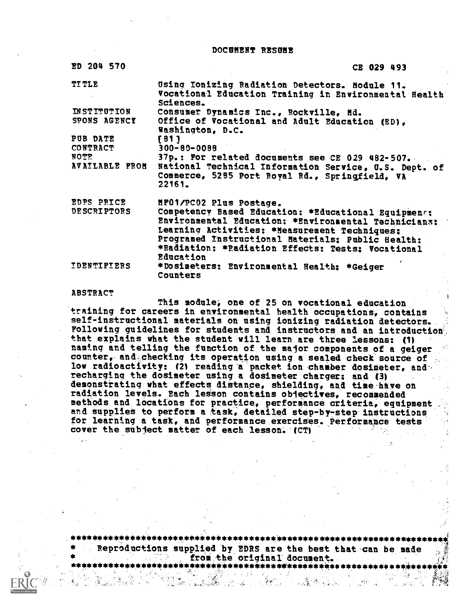DOCUMENT RESUME

| ED 204 570         | CE 029 493                                                                                                                                                                                                                                                                                  |
|--------------------|---------------------------------------------------------------------------------------------------------------------------------------------------------------------------------------------------------------------------------------------------------------------------------------------|
| <b>TITLE</b>       | Using Ionizing Radiation Detectors. Module 11.<br>Vocational Education Training in Environmental Health<br>Sciences.                                                                                                                                                                        |
| <b>INSTITUTION</b> | Consumer Dynamics Inc., Rockville, Md.                                                                                                                                                                                                                                                      |
| SPONS AGENCY       | Office of Vocational and Adult Education (ED),<br>Washington, D.C.                                                                                                                                                                                                                          |
| PUB DATE           | [81]                                                                                                                                                                                                                                                                                        |
| CONTRACT           | $300 - 80 - 0088$                                                                                                                                                                                                                                                                           |
| <b>NOTE</b>        | 37p.: For related documents see CE 029 482-507.                                                                                                                                                                                                                                             |
| AVAILABLE FROM     | National Technical Information Service, U.S. Dept. of<br>Commerce, 5285 Port Royal Rd., Springfield, VA<br>22161.                                                                                                                                                                           |
| EDES PRICE         | MF01/PC02 Plus Postage.                                                                                                                                                                                                                                                                     |
| <b>DESCRIPTORS</b> | Competency Based Education: *Educational Equipmens:<br>Environmental Education: *Environmental Technicians;<br>Learning Activities: * Measurement Techniques:<br>Programed Instructional Materials; Public Health;<br>*Radiation: *Radiation Effects: Tests; Vocational<br><b>Education</b> |
| <b>IDENTIFIERS</b> | *Dosimeters: Environmental Health; *Geiger<br>Counters                                                                                                                                                                                                                                      |

#### ABSTRACT

This module, one of 25 on vocational education training for careers in environmental health occupations, contains self-instructional materials on using ionizing radiation detectors.. Following guidelines for students and instructors and an introduction that explains what the student will learn are three lessons: (1) naming and telling the function of the major components of a geiger counter, and checking its operation using a sealed check source of low radioactivity: (2) reading a packet ion chamber dosimeter, and recharging the dosimeter using a dosimeter charger; and (3) demonstrating what effects distance, shielding, and time.hive on radiation levels. Each lesson contains objectives, recommended methods and,lOcatiOns for practice, performance criteria, equipment and supplies to perform a task, detailed step-by-step instructions for learning a task, and performance exercises. Performance tests cover the subject matter of each lesson. (CT)

\*\*\*\*\*\*\*\*\*\*\*\*\*\*\*\*\*\*\*\*\*\*\*\*\*\*\*\*\*\*\*\*\*\*\*\*\*\*\*\*\*\*\*\*\*\*\*\*\*\*\*\*\*\*\*\*\*\*\*\*\*\*\*\*\*\*\*\*\*\*; Reproductions supplied by EDRS are the best that can be made<br>from the original document. from the original document. \*\*\*\*\*\*\*\*\*\*\*\*\*\*\*\*\*\*\*\*\*\*

 $\sim 52\,$  and  $\sim$ 

24 年后,这样的人的。

**人名**·英马克尔

 $\frac{4}{3}$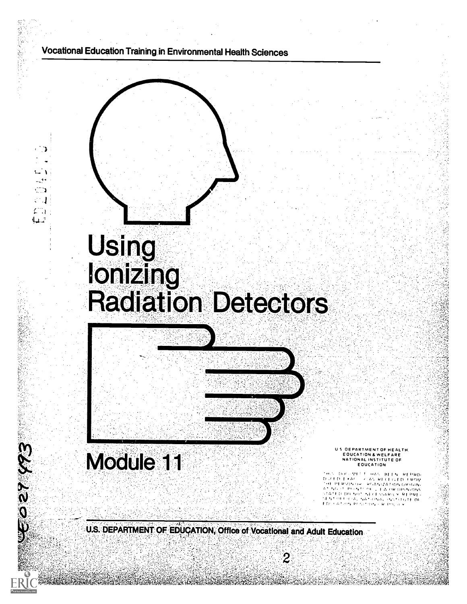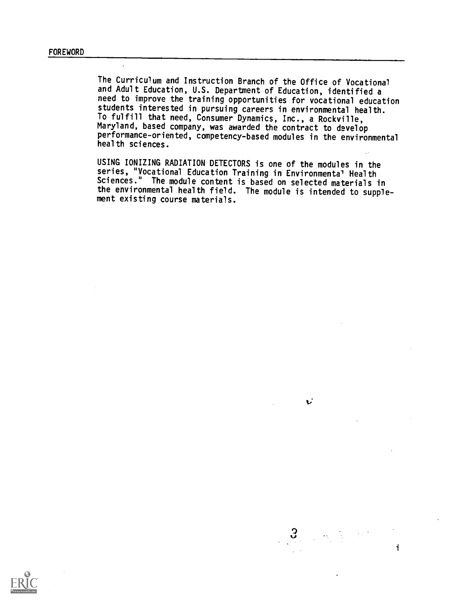The Curriculum and Instruction Branch of the Office of Vocational and Adult Education, U.S. Department of Education, identified a need to improve the training opportunities for vocational education students interested in pursuing careers in environmental health. To fulfill that need, Consumer Dynamics, Inc., a Rockville, Maryland, based company, was awarded the contract to develop performance-oriented, competency-based modules in the environmental health sciences.

USING IONIZING RADIATION DETECTORS is one of the modules in the series, "Vocational Education Training in Environmenta' Health Sciences." The module content is based on selected materials in the environmental health field. The module is intended to supplement existing course materials.

 $3<sup>°</sup>$  $\mathbf{i}$ 

V

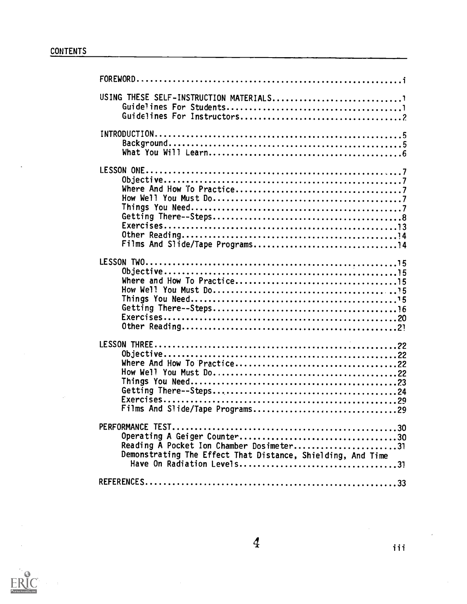$\overline{\phantom{a}}$ 

| Films And Slide/Tape Programs14                                                                         |
|---------------------------------------------------------------------------------------------------------|
|                                                                                                         |
| Films And Slide/Tape Programs29                                                                         |
| Reading A Pocket Ion Chamber Dosimeter31<br>Demonstrating The Effect That Distance, Shielding, And Time |
|                                                                                                         |



 $\overline{a}$ 

 $\sim$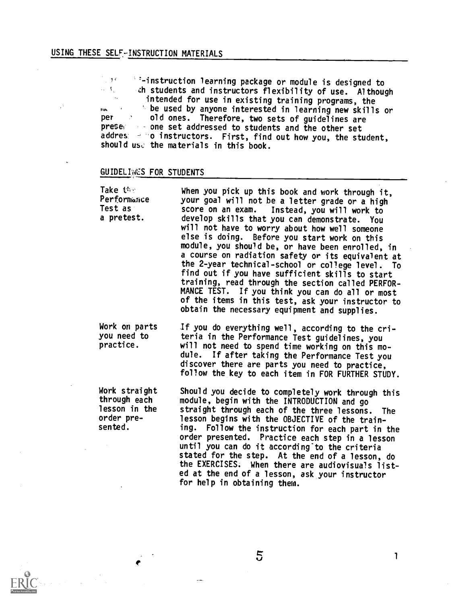$\mathbb{R}^4$ 

 $\frac{1}{2}$  ,  $\frac{1}{2}$  of  $\frac{1}{2}$ ii-instruction learning package or module is designed to ch students and instructors flexibility of use. Although  $\alpha$  ,  $V_{\rm{eff}}$  ,  $\sim 100$ intended for use in existing training programs, the ... . De used by anyone interested in learning new skills or per cold ones. Therefore, two sets of guidelines are presel one set addressed to students and the other set addres on instructors. First, find out how you, the student, should use the materials in this book.

# GUIDELINES FOR STUDENTS

| Take the<br>Performance<br>Test as<br>a pretest.                        | When you pick up this book and work through it,<br>your goal will not be a letter grade or a high<br>score on an exam. Instead, you will work to<br>develop skills that you can demonstrate. You<br>will not have to worry about how well someone<br>else is doing. Before you start work on this<br>module, you shou!d be, or have been enrolled, in<br>a course on radiation safety or its equivalent at<br>the 2-year technical-school or college level. To<br>find out if you have sufficient skills to start<br>training, read through the section called PERFOR-<br>MANCE TEST. If you think you can do all or most<br>of the items in this test, ask your instructor to<br>obtain the necessary equipment and supplies. |
|-------------------------------------------------------------------------|--------------------------------------------------------------------------------------------------------------------------------------------------------------------------------------------------------------------------------------------------------------------------------------------------------------------------------------------------------------------------------------------------------------------------------------------------------------------------------------------------------------------------------------------------------------------------------------------------------------------------------------------------------------------------------------------------------------------------------|
| Work on parts<br>you need to<br>practice.                               | If you do everything well, according to the cri-<br>teria in the Performance Test guidelines, you<br>will not need to spend time working on this mo-<br>dule. If after taking the Performance Test you<br>discover there are parts you need to practice,<br>follow the key to each item in FOR FURTHER STUDY.                                                                                                                                                                                                                                                                                                                                                                                                                  |
| Work straight<br>through each<br>lesson in the<br>order pre-<br>sented. | Should you decide to completely work through this<br>module, begin with the INTRODUCTION and go<br>straight through each of the three lessons. The<br>lesson begins with the OBJECTIVE of the train-<br>ing. Follow the instruction for each part in the<br>order presented. Practice each step in a lesson<br>until you can do it according to the criteria<br>stated for the step. At the end of a lesson, do<br>the EXERCISES. When there are audiovisuals list-<br>ed at the end of a lesson, ask your instructor<br>for help in obtaining them.                                                                                                                                                                           |

 $5\overline{)}$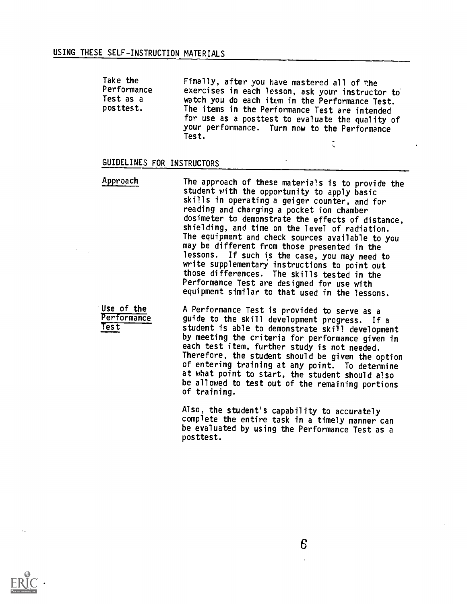Take the Finally, after you have mastered all of the<br>Performance exercises in each lesson, ask your instruct Performance exercises in each lesson, ask your instructor to<br>Test as a second watch you do each item in the Performance Test Test as a watch you do each item in the Performance Test. The items in the Performance Test are intended for use as a posttest to evaluate the quality of your performance. Turn now to the Performance Test.

## GUIDELINES FOR INSTRUCTORS

Approach The approach of these materials is to provide the student with the opportunity to apply basic skills in operating a geiger counter, and for reading and charging a pocket ion chamber dosimeter to demonstrate the effects of distance, shielding, and time on the level of radiation. The equipment and check sources available to you may be different from those presented in the lessons. If such is the case, you may need to write supplementary instructions to point out those differences. The skills tested in the Performance Test are designed for use with equipment similar to that used in the lessons.

Use of the A Performance Test is provided to serve as a<br>Performance guide to the skill development progress. If a<br>Test student is able to demonstrate skill development student is able to demonstrate skill development by meeting the criteria for performance given in each test item, further study is not needed. Therefore, the student should be given the option of entering training at any point. To determine at what point to start, the student should also be allowed to test out of the remaining portions of training.

 $\tilde{\zeta}$ 

Also, the student's capability to accurately complete the entire task in a timely manner can be evaluated by using the Performance Test as a posttest.

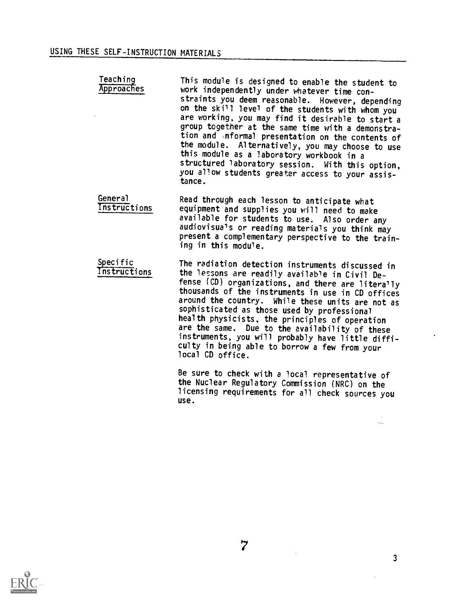| Teaching<br>Approaches          | This module is designed to enable the student to<br>work independently under whatever time con-<br>straints you deem reasonable. However, depending<br>on the skill level of the students with whom you<br>are working, you may find it desirable to start a<br>group together at the same time with a demonstra-<br>tion and informal presentation on the contents of<br>the module. Alternatively, you may choose to use<br>this module as a laboratory workbook in a<br>structured laboratory session. With this option,<br>you allow students greater access to your assis-<br>tance.                                                                                                                      |
|---------------------------------|----------------------------------------------------------------------------------------------------------------------------------------------------------------------------------------------------------------------------------------------------------------------------------------------------------------------------------------------------------------------------------------------------------------------------------------------------------------------------------------------------------------------------------------------------------------------------------------------------------------------------------------------------------------------------------------------------------------|
| General<br>Instructions         | Read through each lesson to anticipate what<br>equipment and supplies you will need to make<br>available for students to use. Also order any<br>audiovisuals or reading materials you think may<br>present a complementary perspective to the train-<br>ing in this module.                                                                                                                                                                                                                                                                                                                                                                                                                                    |
| <b>Specific</b><br>Instructions | The radiation detection instruments discussed in<br>the lessons are readily available in Civil De-<br>fense (CD) organizations, and there are literally<br>thousands of the instruments in use in CD offices<br>around the country. While these units are not as<br>sophisticated as those used by professional<br>health physicists, the principles of operation<br>are the same. Due to the availability of these<br>instruments, you will probably have little diffi-<br>culty in being able to borrow a few from your<br>local CD office.<br>Be sure to check with a local representative of<br>the Nuclear Regulatory Commission (NRC) on the<br>licensing requirements for all check sources you<br>use. |



3

 $\sim$ 

 $\frac{1}{\sqrt{2}}$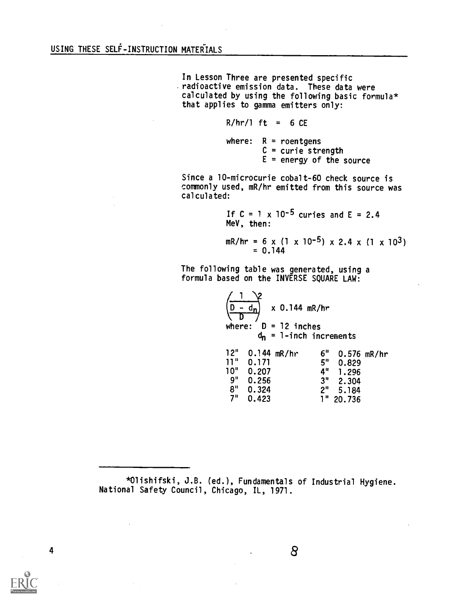In Lesson Three are presented specific radioactive emission data. These data were calculated by using the following basic formula\* that applies to gamma emitters only:

> $R/hr/1$  ft = 6 CE where:  $R =$  roentgens  $C =$  curie strength  $E = energy of the source$

Since a 10-microcurie cobalt-60 check source is commonly used, mR/hr emitted from this source was calculated:

> If C = 1  $\times$  10<sup>-5</sup> curies and E = 2.4 MeV, then:

$$
mR/hr = 6 \times (1 \times 10^{-5}) \times 2.4 \times (1 \times 10^{3})
$$
  
= 0.144

The following table was generated, using a formula based on the INVERSE SQUARE LAW:

> $\frac{1}{1-\frac{d_n}{2}}$ x 0.144 mR/hr where:  $D = 12$  inches  $d_n$  = 1-inch increments 12" 0.144 mR/hr 6" 0.576 mR/hr 11" 0.171 5" 0.829<br>10" 0.207 4" 1.296 0" 0.207 4" 1.296<br>
> 9" 0.256 3" 2.304 0.256 3" 2.304<br>0.324 2" 5.184  $8"$  0.324<br>7" 0.423  $1" 20.736$

\*Olishifski, J.B. (ed.), Fundamentals of Industrial Hygiene. National Safety Council, Chicago, IL, 1971.

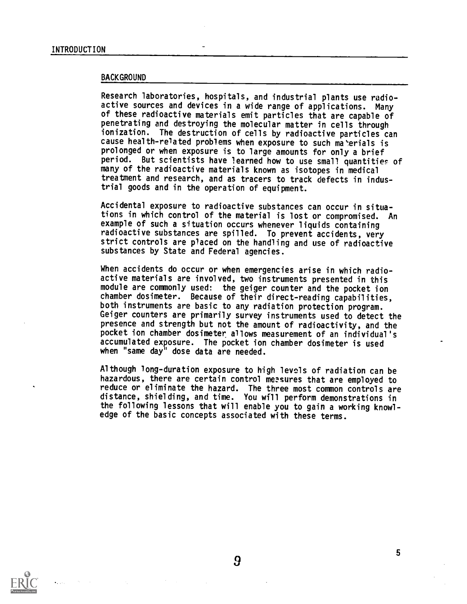### BACKGROUND

Research laboratories, hospitals, and industrial plants use radioactive sources and devices in a wide range of applications. Many of these radioactive materials emit particles that are capable of penetrating and destroying the molecular matter in cells through ionization. The destruction of cells by radioactive particles can cause health-related problems when exposure to such materials is prolonged or when exposure is to large amounts for only a brief period. But scientists have learned how to use small quantities of many of the radioactive materials known as isotopes in medical treatment and research, and as tracers to track defects in industrial goods and in the operation of equipment.

Accidental exposure to radioactive substances can occur in situations in which control of the material is lost or compromised. An example of such a situation occurs whenever liquids containing radioactive substances are spilled. To prevent accidents, very strict controls are placed on the handling and use of radioactive substances by State and Federal agencies.

When accidents do occur or when emergencies arise in which radioactive materials are involved, two instruments presented in this module are commonly used: the geiger counter and the pocket ion chamber dosimeter. Because of their direct-reading capabilities, both instruments are basic to any radiation protection program. Geiger counters are primarily survey instruments used to detect the presence and strength but not the amount of radioactivity, and the pocket ion chamber dosimeter allows measurement of an individual's accumulated exposure. The pocket ion chamber dosimeter is used when "same day" dose data are needed.

Although long-duration exposure to high levels of radiation can be hazardous, there are certain control measures that are employed to reduce or eliminate the hazard. The three most common controls are distance, shielding, and time. You will perform demonstrations in the following lessons that will enable you to gain a working knowledge of the basic concepts associated with these terms.

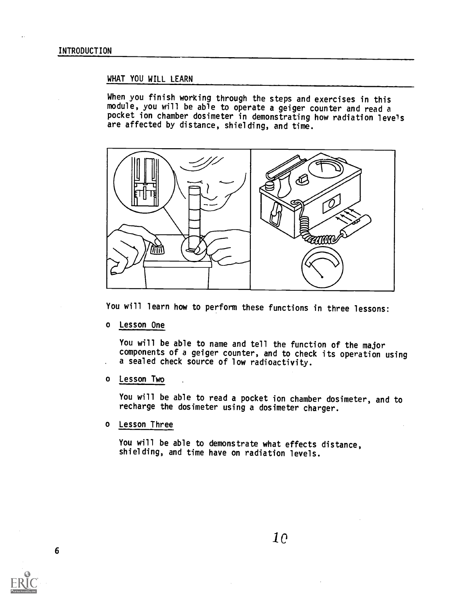# WHAT YOU WILL LEARN

When you finish working through the steps and exercises in this module, you will be able to operate a geiger counter and read a pocket ion chamber dosimeter in demonstrating how radiation levels are affected by distance, shielding, and time.



You will learn how to perform these functions in three lessons:

o Lesson One

You will be able to name and tell the function of the major components of a geiger counter, and to check its operation using a sealed check source of low radioactivity.

o Lesson Two

You will be able to read a pocket ion chamber dosimeter, and to recharge the dosimeter using a dosimeter charger.

o Lesson Three

You will be able to demonstrate what effects distance, shielding, and time have on radiation levels.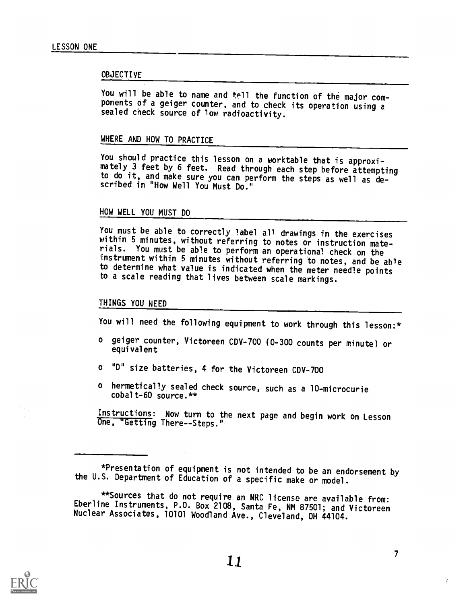## OBJECTIVE

You will be able to name and tell the function of the major com-<br>ponents of a geiger counter, and to check its operation using a<br>sealed check source of low radioactivity.

# WHERE AND HOW TO PRACTICE

You should practice this lesson on a worktable that is approximately 3 feet by 6 feet. Read through each step before attempting to do it, and make sure you can perform the steps as well as described in "How Well You Must Do."

#### HOW WELL YOU MUST DO

You must be able to correctly label all drawings in the exercises within 5 minutes, without referring to notes or instruction materials. You must be able to perform an operational check on the instrument within 5 minutes without referring to notes, and be able to determine what value is indicated when the meter needle points to a scale reading that lives between scale markings.

### THINGS YOU NEED

You will need the following equipment to work through this lesson:\*

- o geiger counter, Victoreen CDV-700 (0-300 counts per minute) or equivalent
- <sup>o</sup> "D" size batteries, 4 for the Victoreen CDV-700
- <sup>o</sup> hermetically sealed check source, such as a 10-microcurie cobalt-60 source. $**$

Instructions: Now turn to the next page and begin work on Lesson One, "Getting There--Steps."

\*\*Sources that do not require an NRC license are available from: Eberline Instruments, P.O. Box 2108, Santa Fe, NM 87501; and Victoreen Nuclear Associates, 10101 Woodland Ave., Cleveland, OH 44104.



11

ŷ,

<sup>\*</sup>Presentation of equipment is not intended to be an endorsement by the U.S. Department of Education of a specific make or model.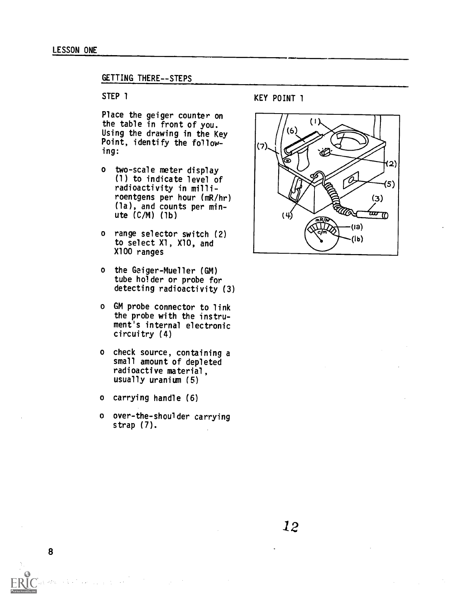8

# GETTING THERE--STEPS

STEP 1

Place the geiger counter on the table in front of you. Using the drawing in the Key Point, identify the following:

- o two-scale meter display (1) to indicate level of radioactivity in milliroentgens per hour (mR/hr) (la), and counts per minute  $(C/M)$  (lb)
- o range selector switch (2) to select Xl, X10, and X100 ranges
- o the Geiger-Mueller (GM) tube holder or probe for detecting radioactivity (3)
- o GM probe connector to link the probe with the instrument's internal electronic circuitry (4)
- o check source, containing a small amount of depleted radioactive material, usually uranium (5)
- o carrying handle (6)
- o over-the-shoulder carrying strap (7).

**Contract Contract** 

KEY POINT 1

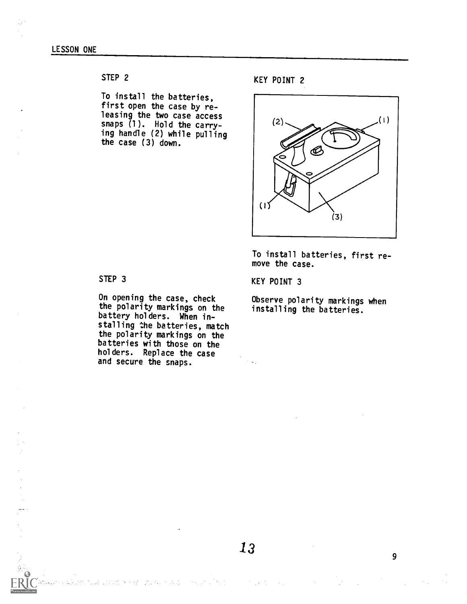Ĵл.

 $\frac{1}{2}$  $\overline{\mathcal{A}}$ i<br>S  $\frac{1}{2}$  $\frac{1}{2}$ 

 $\mathcal{U}_{\rm eff}$  ,  $\mathcal{U}_{\rm eff}^{\rm eff}$ 

# STEP 2

To install the batteries, first open the case by re leasing the two case access snaps (1). Hold the carrying handle (2) while pulling the case (3) down.

KEY POINT 2



To install batteries, first re move the case.

KEY POINT 3

Observe polarity markings when installing the batteries.

## STEP 3

On opening the case, check the polarity markings on the battery holders. When installing the batteries, match the polarity markings on the batteries with those on the holders. Replace the case and secure the snaps.

なぼ ははかめられ アルバースカー らいがいもく

in gu

 $\mathcal{L}_{\rm{in}}$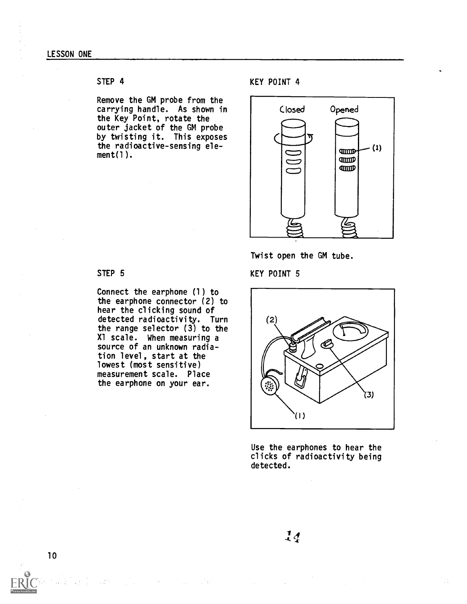Remove the GM probe from the carrying handle. As shown in the Key Point, rotate the outer jacket of the GM probe by twisting it. This exposes the radioactive-sensing element(1).

# STEP 4 KEY POINT 4



Twist open the GM tube.

STEP 5 KEY POINT 5

10

Connect the earphone (1) to the earphone connector (2) to hear the clicking sound of detected radioactivity. Turn the range selector (3) to the X1 scale. When measuring a source of an unknown radiation level, start at the lowest (most sensitive) measurement scale. Place the earphone on your ear.

a de la construcción de la construcción de la construcción de la construcción de la construcción de la construcción<br>En la construcción de la construcción de la construcción de la construcción de la construcción de la const



Use the earphones to hear the clicks of radioactivity being detected.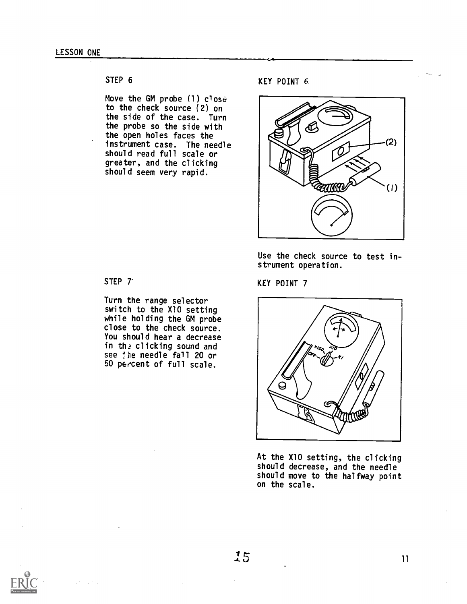Move the GM probe  $(1)$  close to the check source (2) on the side of the case. Turn the probe so the side with the open holes faces the instrument case. The needle should read full scale or greater, and the clicking should seem very rapid.

STEP 6 KEY POINT 6



Use the check source to test instrument operation.

STEP 7 KEY POINT 7



At the X10 setting, the clicking should decrease, and the needle should move to the halfway point on the scale.

Turn the range selector switch to the X10 setting while holding the GM probe close to the check source. You should hear a decrease in the clicking sound and see the needle fall 20 or 50 percent of full scale.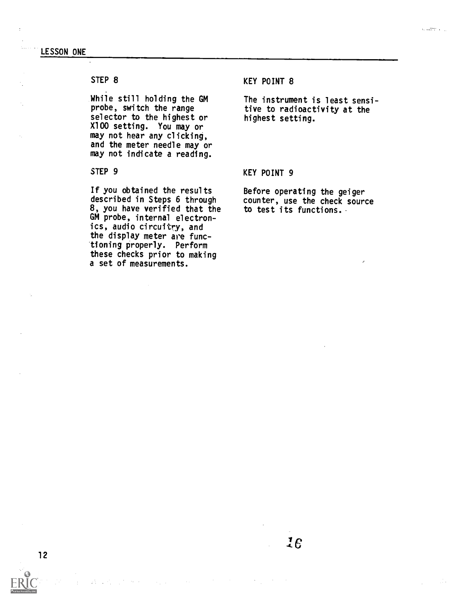$\overline{1}$ 

 $\sim$ 

# STEP 8

While still holding the GM probe, switch the range selector to the highest or X100 setting. You may or may not hear any clicking, and the meter needle may or may not indicate a reading.

## STEP 9

If you obtained the results described in Steps 6 through 8, you have verified that the GM probe, internal electronics, audio circuitry, and the display meter are functioning properly. Perform these checks prior to making a set of measurements.

# KEY POINT 8

The instrument is least sensitive to radioactivity at the highest setting.

## KEY POINT 9

Before operating the geiger counter, use the check source to test its functions.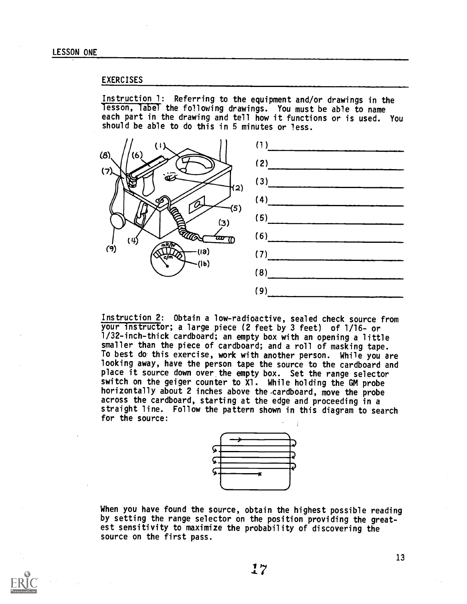### EXERCISES

Instruction 1: Referring to the equipment and/or drawings in the lesson, label the following drawings. You must be able to name each part in the drawing and tell how it functions or is used. You should be able to do this in 5 minutes or less.



Instruction 2: Obtain a low-radioactive, sealed check source from your instructor; a large piece (2 feet by 3 feet) of 1/16- or 1/32-inch-thick cardboard; an empty box with an opening a little smaller than the piece of cardboard; and a roll of masking tape. To best do this exercise, work with another person. While you are looking away, have the person tape the source to the cardboard and place it source down over the empty box. Set the range selector switch on the geiger counter to Xl. While holding the GM probe horizontally about 2 inches above the cardboard, move the probe across the cardboard, starting at the edge and proceeding in a straight line. Follow the pattern shown in this diagram to search for the source:



When you have found the source, obtain the highest possible reading by setting the range selector on the position providing the greatest sensitivity to maximize the probability of discovering the source on the first pass.

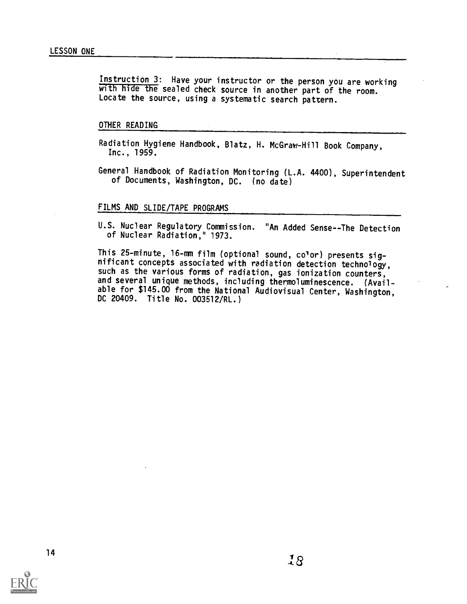Instruction 3: Have your instructor or the person you are working with hide the sealed check source in another part of the room. Locate the source, using a systematic search pattern.

#### OTHER READING

Radiation Hygiene Handbook, Blatz, H. McGraw-Hill Book Company, Inc., 1959.

General Handbook of Radiation Monitoring (L.A. 4400), Superintendent of Documents, Washington, DC. (no date)

# FILMS AND SLIDE/TAPE PROGRAMS

U.S. Nuclear Regulatory Commission. "An Added Sense--The Detection of Nuclear Radiation," 1973.

This 25-minute, 16-mm film (optional sound, color) presents significant concepts associated with radiation detection technology, such as the various forms of radiation, gas ionization counters, and several unique methods, including thermoluminescence. (Available for \$145.00 from the National Audiovisual Center, Washington, DC 20409. Title No. 003512/RL.)

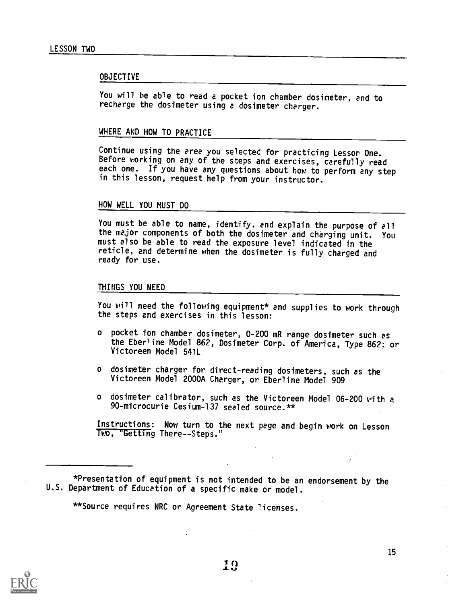#### OBJECTIVE

You will be able to read a pocket ion chamber dosimeter, and to recharge the dosimeter using a dosimeter charger.

### WHERE AND HOW TO PRACTICE

Continue using the area you selected for practicing Lesson One. Before working on any of the steps and exercises, carefully read each one. If you have any questions about how to perform any step in this lesson, request help from your instructor.

### HOW WELL YOU MUST DO

You must be able to name, identify, and explain the purpose of all the major components of both the dosimeter and charging unit. You must also be able to read the exposure level indicated in the reticle, and determine when the dosimeter is fully charged and ready for use.

### THINGS YOU NEED

You will need the following equipment\* and supplies to work through the steps and exercises in this lesson:

- <sup>o</sup> pocket ion chamber dosimeter, 0-200 mR range dosimeter such as the Eberline Model 862, Dosimeter Corp. of America, Type 862; or Victoreen Model 541L
- <sup>o</sup> dosimeter charger for direct-reading dosimeters, such as the Victoreen Model 2000A Charger, or Eberline Model 909
- <sup>o</sup> dosimeter calibrator, such as the Victoreen Model 06-200 with a 90-microcurie Cesium-137 sealed source.\*\*

Instructions: Now turn to the next page and begin work on Lesson Two, "Getting There-- Steps."

\*\*Source requires NRC or Agreement State licenses.

<sup>\*</sup>Presentation of equipment is not intended to be an endorsement by the U.S. Department of Education of a specific make or model.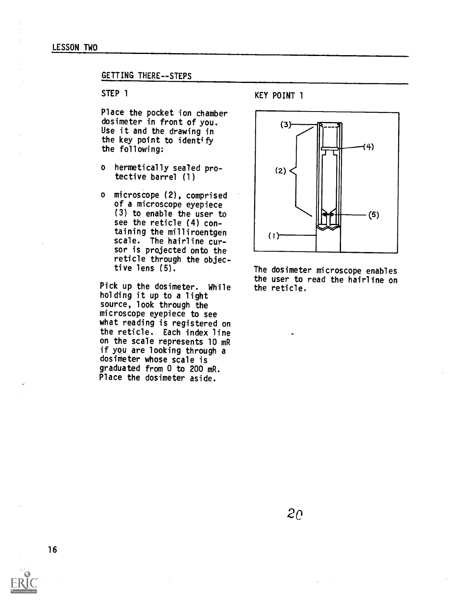## LESSON TWO

## GETTING THERE--STEPS

# STEP 1

Place the pocket ion chamber dosimeter in front of you. Use it and the drawing in the key point to identify the following:

- o hermetically sealed protective barrel (1)
- o microscope (2), comprised of a microscope eyepiece (3) to enable the user to see the reticle (4) containing the milliroentgen scale. The hairline cursor is projected onto the reticle through the objective lens (5).

Pick up the dosimeter. While holding it up to a light source, look through the microscope eyepiece to see what reading is registered on the reticle. Each index line on the scale represents 10 mR if you are looking through a dosimeter whose scale is graduated from 0 to 200 mR. Place the dosimeter aside.

KEY POINT 1



The dosimeter microscope enables the user to read the hairline on the reticle.

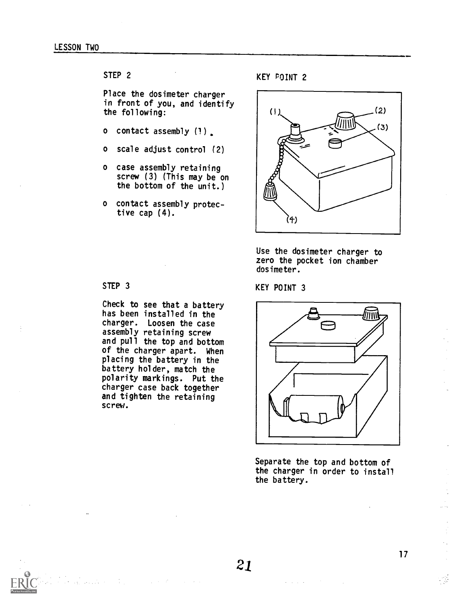Place the dosimeter charger in front of you, and identify<br>the following: the following:

- o contact assembly (1)
- o scale adjust control (2)
- o case assembly retaining screw (3) (This may be on the bottom of the unit.)
- o contact assembly protective cap (4).

KEY POINT 2



Use the dosimeter charger to zero the pocket ion chamber dosimeter.

KEY POINT 3



Separate the top and bottom of the charger in order to install the battery.

## STEP 3

Check to see that a battery has been installed in the charger. Loosen the case assembly retaining screw and pull the top and bottom of the charger apart. When placing the battery in the battery holder, match the polarity markings. Put the charger case back together and tighten the retaining screw.

 $\mathcal{L}_\mathbf{a}$  and  $\mathcal{L}_\mathbf{a}$  are the set of the set of the set of the set of the set of the set of the set of the set of the set of the set of the set of the set of the set of the set of the set of the set of the set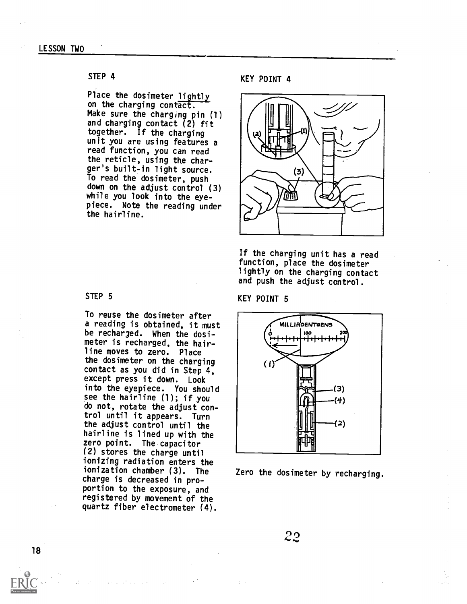Place the dosimeter lightly on the charging contact. Make sure the charging pin (1) and charging contact (2) fit together. If the charging unit you are using features a read function, you can read the reticle, using the charger's built-in light source. To read the dosimeter, push down on the adjust control (3) while you look into the eyepiece. Note the reading under the hairline.

#### KEY POINT 4



If the charging unit has a read function, place the dosimeter lightly on the charging contact and push the adjust control.

## KEY POINT 5



Zero the dosimeter by recharging.

# STEP 5

To reuse the dosimeter after a reading is obtained, it must be recharged. When the dosimeter is recharged, the hairline moves to zero. Place the dosimeter on the charging contact as you did in Step 4, except press it down. Look into the eyepiece. You should see the hairline (1); if you do not, rotate the adjust con trol until it appears. Turn the adjust control until the hairline is lined up with the zero point. The-capacitor (2) stores the charge until ionizing radiation enters the ionization chamber (3). The charge is decreased in proportion to the exposure, and registered by movement of the quartz fiber electrometer (4).

 $22$ 



18

San Brazilian Store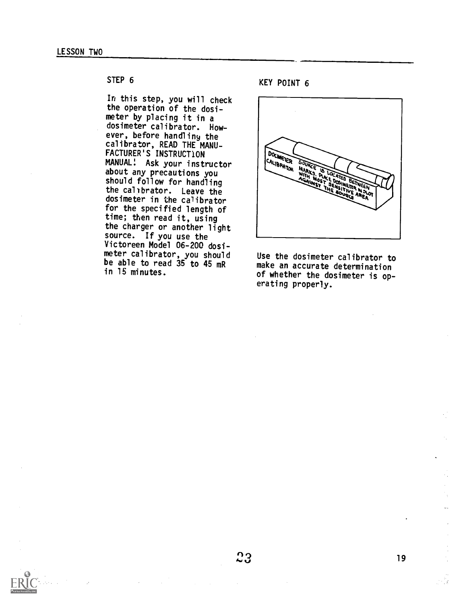In this step, you will check the operation of the dosimeter by placing it in a dosimeter calibrator. However, before handliny the calibrator, READ THE MANU-FACTURER'S INSTRUCTION FACTURER'S INSTRUCTION<br>
MANUAL! Ask your instructor<br>
Thout any precautions you about any precautions you should follow for handling the calibrator. Leave the dosimeter in the calibrator for the specified length of time; then read it, using the charger or another light source. If you use the Victoreen Model 06-200 dosimeter calibrator, you should be able to read 35 to 45 mR in 15 minutes.

KEY POINT 6



Use the dosimeter calibrator to make an accurate determination of whether the dosimeter is operating properly.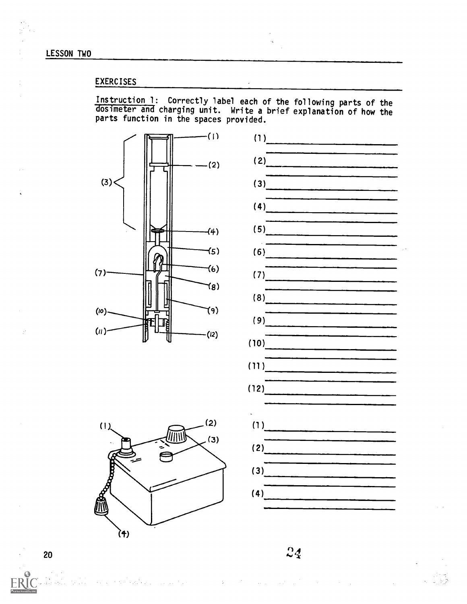# EXERCISES

 $(1)$ 

(<del>1</del>)

Instruction 1: Correctly label each of the following parts of the dosimeter and charging unit. Write a brief explanation of how the parts function in the spaces provided.



 $(2)$ 

 $(3)$ 

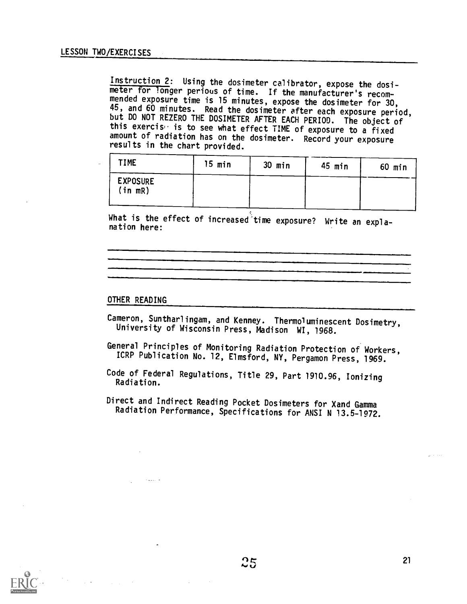Instruction 2: Using the dosimeter calibrator, expose the dosimeter for longer perious of time. If the manufacturer's recom-<br>mended exposure time is 15 minutes, expose the dosimeter for 30,<br>45, and 60 minutes. Read the dosimeter after each exposure period, but DO NOT REZERO THE DOSIMETER AFTER EACH PERIOD. The object of this exercise is to see what effect TIME of exposure to a fixed amount of radiation has on the dosimeter. Record your exposure results in the chart provided.

| <b>TIME</b>               | $15$ min | $30$ min | 45 min | 60 min |
|---------------------------|----------|----------|--------|--------|
| <b>EXPOSURE</b><br>in mR) |          |          |        |        |

What is the effect of increased time exposure? Write an explanation here:

## OTHER READING

 $\sim 100$  and  $\sim 10^{-10}$ 

- Cameron, Suntharlingam, and Kenney. Thermoluminescent Dosimetry, University of Wisconsin Press, Madison WI, 1968.
- General Principles of Monitoring Radiation Protection of Workers, ICRP Publication No. 12, Elmsford, NY, Pergamon Press, 1969.
- Code of Federal Regulations, Title 29, Part 1910.96, Ionizing Radiation.

Direct and Indirect Reading Pocket Dosimeters for Xand Gamma Radiation Performance, Specifications for ANSI N 13.5-1972.

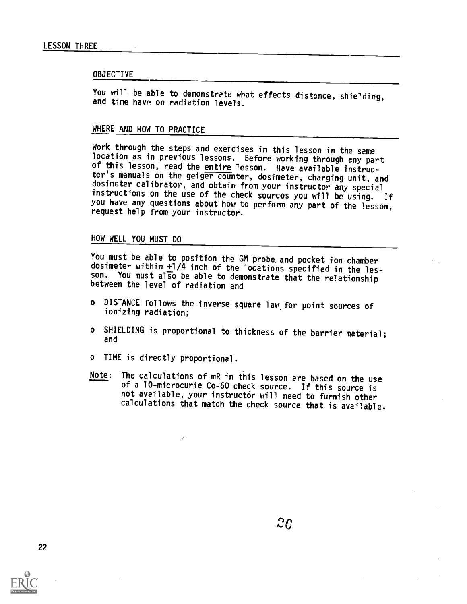#### OBJECTIVE

You will be able to demonstrate what effects distance, shielding, and time have on radiation levels.

# WHERE AND HOW TO PRACTICE

Work through the steps and exercises in this lesson in the same<br>location as in previous lessons. Before working through any part of this lesson, read the entire lesson. Have available instructor's manuals on the geiger counter, dosimeter, charging unit, and dosimeter calibrator, and obtain from your instructor any special instructions on the use of the check sources you will be using. If you have any questions about how to perform any part of the lesson, request help from your instructor.

# HOW WELL YOU MUST DO

You must be able to position the GM probe and pocket ion chamber dosimeter within +1/4 inch of the locations specified in the lesson. You must also be able to demonstrate that the relationship between the level of radiation and

- <sup>o</sup> DISTANCE follows the inverse square law.for point sources of ionizing radiation;
- <sup>o</sup> SHIELDING is proportional to thickness of the barrier material; and
- o TIME is directly proportional.

بر

Note: The calculations of mR in this lesson ere based on the use of a 10-microcurie Co-60 check source. If this source is not available, your instructor will need to furnish other calculations that match the check source that is available.

 $2\overline{c}$ 

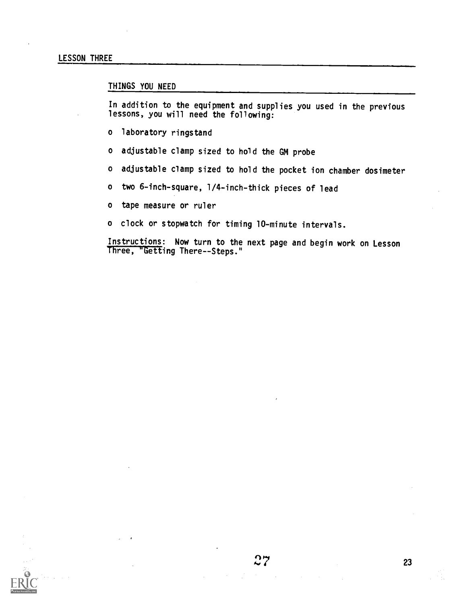# THINGS YOU NEED

In addition to the equipment and supplies you used in the previous lessons, you will need the following:

- o laboratory ringstand
- o adjustable clamp sized to hold the GM probe
- o adjustable clamp sized to hold the pocket ion chamber dosimeter
- o two 6-inch-square, 1/4-inch-thick pieces of lead

o tape measure or ruler

o clock or stopwatch for timing 10-minute intervals.

Instructions: Now turn to the next page and begin work on Lesson Three, "Getting There--Steps."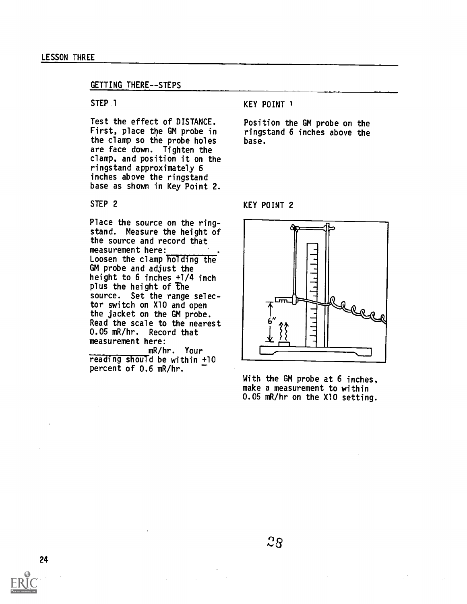### GETTING THERE--STEPS

STEP<sub>1</sub>

Test the effect of DISTANCE. First, place the GM probe in the clamp so the probe holes are face down. Tighten the clamp, and position it on the ringstand approximately 6 inches above the ringstand base as shown in Key Point 2.

STEP 2

Place the source on the ringstand. Measure the height of the source and record that measurement here: Loosen the clamp holding the GM probe and adjust the height to 6 inches +1/4 inch plus the height of The source. Set the range selector switch on X10 and open the jacket on the GM probe. Read the scale to the nearest 0.05 mR/hr. Record that measurement here: mR/hr. Your

reading should be within +10 percent of 0.6 mR/hr.

KEY POINT 1

Position the GM probe on the ringstand 6 inches above the base.

## KEY POINT 2



With the GM probe at 6 inches, make a measurement to within 0.05 mR/hr on the X10 setting.

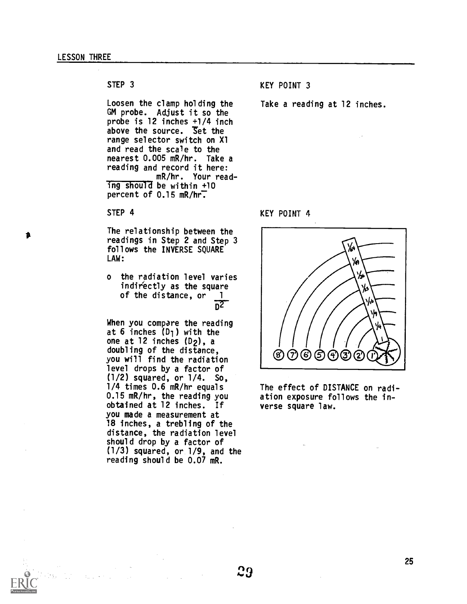Loosen the clamp holding the GM probe. Adjust it so the probe is 12 inches +1/4 inch above the source. Set the range selector switch on X1 and read the scale to the nearest 0.005 mR/hr. Take a reading and record it here: mR/hr. Your read- $\overline{1}$ ng should be within +10 percent of 0.15 mR/hr.

The relationship between the readings in Step 2 and Step 3 follows the INVERSE SOUARE LAW:

o the radiation level varies indir'ectly as the square of the distance, or 1  $\overline{52}$ 

When you compare the reading at 6 inches  $(D_1)$  with the one at  $12$  inches  $(D_2)$ , a doubling of the distance, you will find the radiation level drops by a factor of (1/2) squared, or 1/4. So, 1/4 times 0.6 mR/hr equals 0.15 mR/hr, the reading you obtained at 12 inches. If you made a measurement at 18 inches, a trebling of the distance, the radiation level should drop by a factor of (1/3) squared, or 1/9, and the reading should be 0.07 mR.

STEP 3 KEY POINT 3

Take a reading at 12 inches.

STEP 4 KEY POINT 4



The effect of DISTANCE on radiation exposure follows the inverse square law.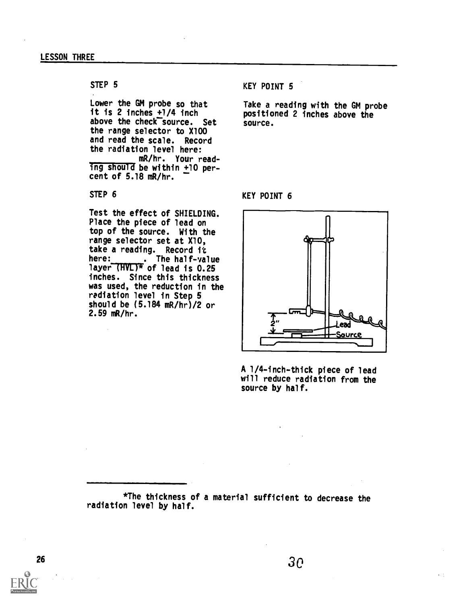# STEP<sub>5</sub>

Lower the GM probe so that it is 2 inches +1/4 inch above the check source. Set the range selector to X100 and read the scale. Record the radiation level here: mR/hr. Your reading should be within  $+10$  percent of 5.18 mR/hr.

# STEP 6

Test the effect of SHIELDING. Place the piece of lead on top of the source. With the range selector set at X10, take a reading. Record it nere: . The half-value | layer (HVL)\* of lead is 0.25 inches. Since this thickness was used, the reduction in the radiation level in Step 5 should be (5.184 mR/hr)/2 or 2.59 mR/hr.

KEY POINT 5

Take a reading with the GM probe positioned 2 inches above the source.

## KEY POINT 6



A 1/4-inch-thick piece of lead will reduce radiation from the source by half.

\*The thickness of a material sufficient to decrease the radiation level by half.

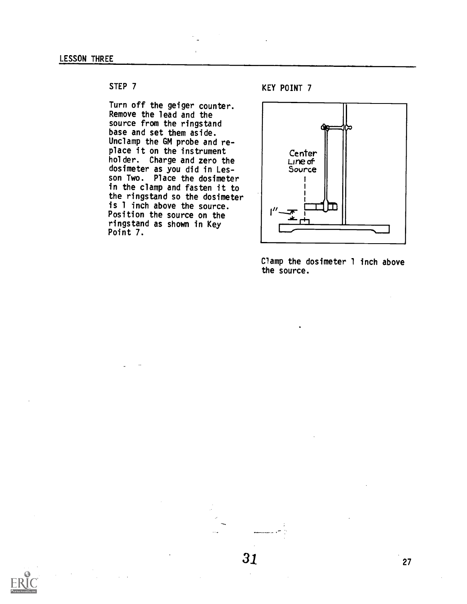Turn off the geiger counter. Remove the lead and the source from the ringstand base and set them aside. Unclamp the GM probe and replace it on the instrument holder. Charge and zero the dosimeter as you did in Lesson Two. Place the dosimeter in the clamp and fasten it to the ringstand so the dosimeter is 1 inch above the source. Position the source on the ringstand as shown in Key Point 7.

STEP 7 KEY POINT 7



Clamp the dosimeter 1 inch above the source.

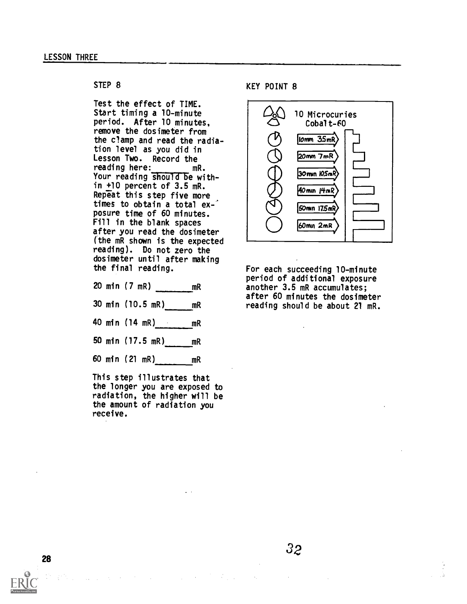Test the effect of TIME. Start timing a 10-minute period. After 10 minutes, remove the dosimeter from the clamp and read the radiation level as you did in Lesson Two. Record the<br>reading here: mR. reading here: Your reading should be within +10 percent of 3.5 mR. Repeat this step five more times to obtain a total exposure time of 60 minutes. Fill in the blank spaces after you read the dosimeter (the mR shown is the expected reading). Do not zero the dosimeter until after making the final reading.



This step illustrates that the longer you are exposed to radiation, the higher will be the amount of radiation you receive.

 $\mathcal{L}_{\text{max}}$  ,  $\mathcal{L}_{\text{max}}$  ,  $\mathcal{L}_{\text{max}}$ 

KEY POINT 8



For each succeeding 10-minute period of additional exposure another 3.5 mR accumulates; after 60 minutes the dosimeter reading should be about 21 mR.

 $\sim$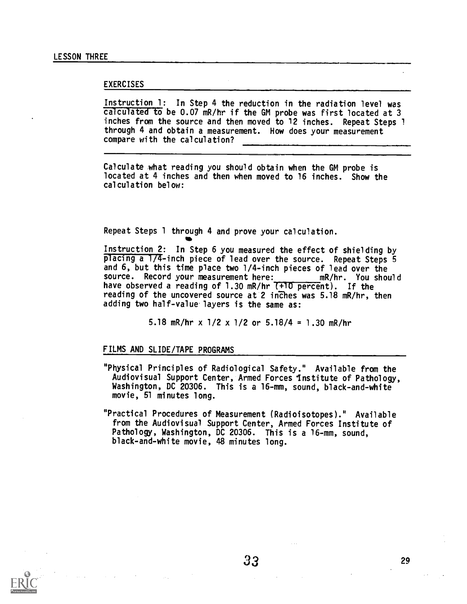### EXERCISES

Instruction 1: In Step 4 the reduction in the radiation level was calculated to be 0.07 mR/hr if the GM probe was first located at 3 inches from the source and then moved to 12 inches. Repeat Steps 1 through 4 and obtain a measurement. How does your measurement compare with the calculation?

Calculate what reading you should obtain when the GM probe is located at 4 inches and then when moved to 16 inches. Show the calculation below:

Repeat Steps 1 through 4 and prove your calculation.

mb

Instruction 2: In Step 6 you measured the effect of shielding by  $placing a 1/4$ -inch piece of lead over the source. Repeat Steps  $5$ and 6, but this time place two 1/4-inch pieces of lead over the<br>source. Record your measurement here: mR/hr. You should source. Record your measurement here:\_\_\_\_\_\_\_\_\_\_mR/hr. You should have observed a reading of 1.30 mR/hr (+10 percent). If the reading of the uncovered source at 2 inches was 5.18 mR/hr, then adding two half-value layers is the same as:

5.18 mR/hr x 1/2 x 1/2 or 5.18/4 = 1.30 mR/hr

## FILMS AND SLIDE/TAPE PROGRAMS

- "Physical Principles of Radiological Safety." Available from the Audiovisual Support Center, Armed Forces Institute of Pathology, Washington, DC 20306. This is a 16-mm, sound, black-and-white movie, 51 minutes long.
- "Practical Procedures of Measurement (Radioisotopes)." Available from the Audiovisual Support Center, Armed Forces Institute of Pathology, Washington, DC 20306. This is a 16-mm, sound, black-and-white movie, 48 minutes long.

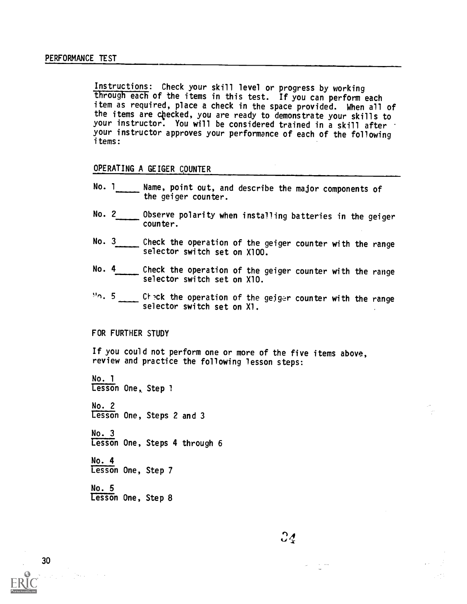Instructions: Check your skill level or progress by working through each of the items in this test. If you can perform each item as required, place a check in the space provided. When all of the items are checked, you are ready to demonstrate your skills to your instructor. You will be considered trained in a skill after your instructor approves your performance of each of the following items:

# OPERATING A GEIGER COUNTER

- No. <sup>1</sup> Name, point out, and describe the major components of the geiger counter.
- No. 2\_\_\_\_\_\_ Observe polarity when installing batteries in the geiger counter.
- No. 3 Check the operation of the geiger counter with the range selector switch set on X100.
- No. 4 Check the operation of the geiger counter with the range selector switch set on X10.
- "n. 5 CF,ck the operation of the geiger counter with the range selector switch set on Xl.

FOR FURTHER STUDY

If you could not perform one or more of the five items above, review and practice the following lesson steps:

No. 1 Lesson One, Step 1 No. 2 Lesson One, Steps 2 and 3 No. 3 Lesson One, Steps 4 through 6 No. 4 Lesson One, Step 7 No. 5

Lesson One, Step 8

 $2<sub>4</sub>$ 

 $\alpha = 100$ 

 $\mathcal{O}(\alpha_{\rm max}) \leq \alpha_{\rm max}$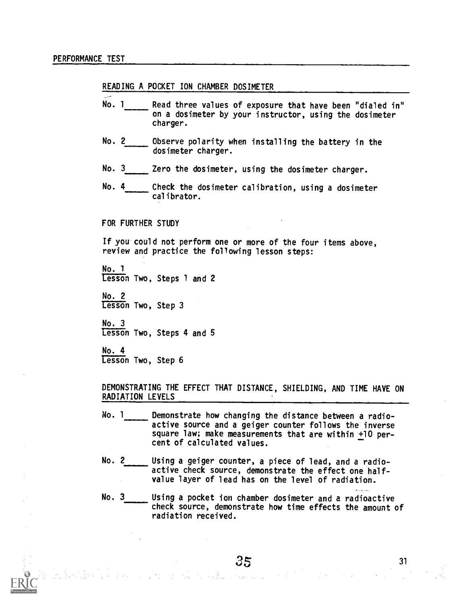# READING A POCKET ION CHAMBER DOSIMETER

- No. 1 Read three values of exposure that have been "dialed in" on a dosimeter by your instructor, using the dosimeter charger.
- No. 2 Observe polarity when installing the battery in the dosimeter charger.
- No. 3 Zero the dosimeter, using the dosimeter charger.
- No. 4 Check the dosimeter calibration, using a dosimeter calibrator.

## FOR FURTHER STUDY

If you could not perform one or more of the four items above, review and practice the following lesson steps:

No. 1 Lesson Two, Steps 1 and 2

No. 2 Lesson Two, Step 3

No. 3 Lesson Two, Steps 4 and 5

No. 4 Lesson Two, Step 6

DEMONSTRATING THE EFFECT THAT DISTANCE, SHIELDING, AND TIME HAVE ON RADIATION LEVELS

- No. 1 Demonstrate how changing the distance between a radioactive source and a geiger counter follows the inverse square law; make measurements that are within +10 percent of calculated values.
- No. 2 Using a geiger counter, a piece of lead, and a radioactive check source, demonstrate the effect one halfvalue layer of lead has on the level of radiation.
- No. 3 Using a pocket ion chamber dosimeter and a radioactive check source, demonstrate how time effects the amount of radiation received.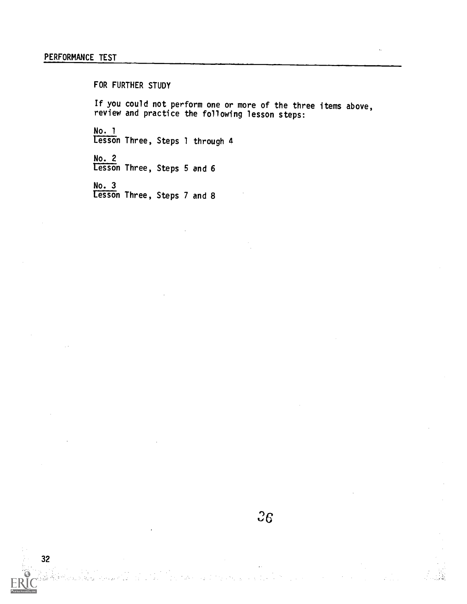32

FOR FURTHER STUDY

If you could not perform one or more of the three items above, review and practice the following lesson steps:

No. 1 Lesson Three, Steps 1 through 4

No. 2 Lesson Inree, Steps 5 and 6

No. 3 Lesson Three, Steps 7 and 8

 $\mathbb{R}^2$